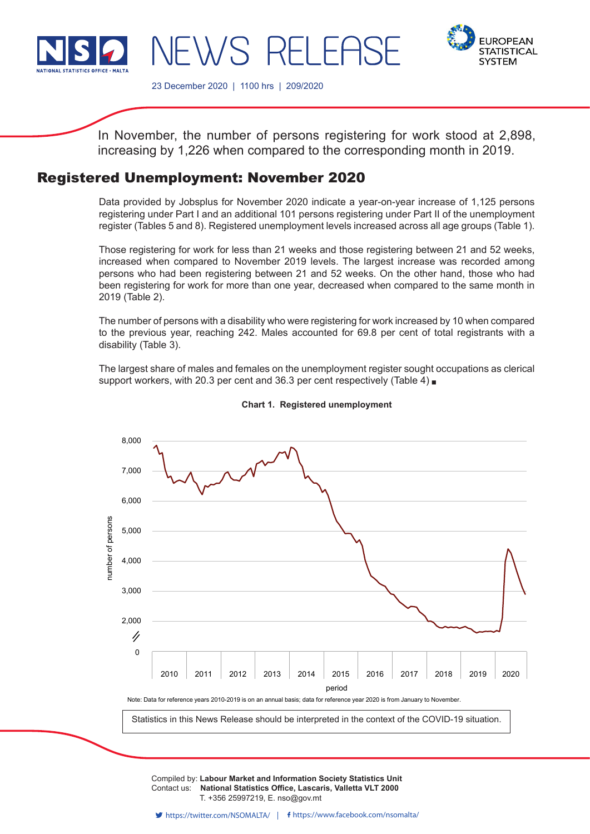



23 December 2020 | 1100 hrs | 209/2020

WS RFLFF

In November, the number of persons registering for work stood at 2,898, increasing by 1,226 when compared to the corresponding month in 2019.

# Registered Unemployment: November 2020

Data provided by Jobsplus for November 2020 indicate a year-on-year increase of 1,125 persons registering under Part I and an additional 101 persons registering under Part II of the unemployment register (Tables 5 and 8). Registered unemployment levels increased across all age groups (Table 1).

Those registering for work for less than 21 weeks and those registering between 21 and 52 weeks, increased when compared to November 2019 levels. The largest increase was recorded among persons who had been registering between 21 and 52 weeks. On the other hand, those who had been registering for work for more than one year, decreased when compared to the same month in 2019 (Table 2).

The number of persons with a disability who were registering for work increased by 10 when compared to the previous year, reaching 242. Males accounted for 69.8 per cent of total registrants with a disability (Table 3).

The largest share of males and females on the unemployment register sought occupations as clerical support workers, with 20.3 per cent and 36.3 per cent respectively (Table 4)



#### **Chart 1. Registered unemployment**

Compiled by: Labour Market and Information Society Statistics Unit Contact us: National Statistics Office, Lascaris, Valletta VLT 2000 Issued by: **Dissemination Unit, National Statistics Office, Lascaris, Valletta VLT 2000, Malta.** T. +356 25997219, E. nso@gov.mt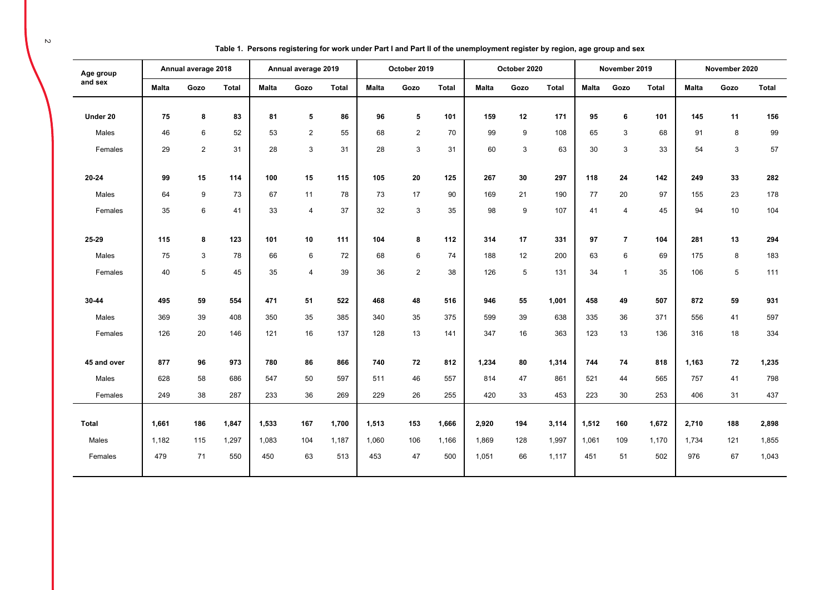| Age group    |              | Annual average 2018 |              |              | Annual average 2019 |              |              | October 2019   |              |              | October 2020 |              |              | November 2019            |       |              | November 2020 |              |
|--------------|--------------|---------------------|--------------|--------------|---------------------|--------------|--------------|----------------|--------------|--------------|--------------|--------------|--------------|--------------------------|-------|--------------|---------------|--------------|
| and sex      | <b>Malta</b> | Gozo                | <b>Total</b> | <b>Malta</b> | Gozo                | <b>Total</b> | <b>Malta</b> | Gozo           | <b>Total</b> | <b>Malta</b> | Gozo         | <b>Total</b> | <b>Malta</b> | Gozo                     | Total | <b>Malta</b> | Gozo          | <b>Total</b> |
|              |              |                     |              |              |                     |              |              |                |              |              |              |              |              |                          |       |              |               |              |
| Under 20     | 75           | 8                   | 83           | 81           | 5                   | 86           | 96           | 5              | 101          | 159          | 12           | 171          | 95           | 6                        | 101   | 145          | 11            | 156          |
| Males        | 46           | 6                   | 52           | 53           | $\overline{2}$      | 55           | 68           | $\overline{2}$ | 70           | 99           | 9            | 108          | 65           | $\mathsf 3$              | 68    | 91           | 8             | 99           |
| Females      | 29           | 2                   | 31           | 28           | 3                   | 31           | 28           | 3              | 31           | 60           | 3            | 63           | 30           | 3                        | 33    | 54           | 3             | 57           |
|              |              |                     |              |              |                     |              |              |                |              |              |              |              |              |                          |       |              |               |              |
| 20-24        | 99           | 15                  | 114          | 100          | 15                  | 115          | 105          | 20             | 125          | 267          | 30           | 297          | 118          | 24                       | 142   | 249          | 33            | 282          |
| Males        | 64           | 9                   | 73           | 67           | 11                  | 78           | 73           | 17             | 90           | 169          | 21           | 190          | 77           | 20                       | 97    | 155          | 23            | 178          |
| Females      | 35           | 6                   | 41           | 33           | $\overline{4}$      | 37           | 32           | 3              | 35           | 98           | 9            | 107          | 41           | 4                        | 45    | 94           | 10            | 104          |
|              |              |                     |              |              |                     |              |              |                |              |              |              |              |              |                          |       |              |               |              |
| 25-29        | 115          | 8                   | 123          | 101          | 10                  | 111          | 104          | 8              | 112          | 314          | 17           | 331          | 97           | $\overline{\phantom{a}}$ | 104   | 281          | 13            | 294          |
| Males        | 75           | 3                   | 78           | 66           | 6                   | 72           | 68           | 6              | 74           | 188          | 12           | 200          | 63           | 6                        | 69    | 175          | 8             | 183          |
| Females      | 40           | $\sqrt{5}$          | 45           | 35           | 4                   | 39           | 36           | $\overline{2}$ | 38           | 126          | 5            | 131          | 34           | $\mathbf{1}$             | 35    | 106          | $\,$ 5 $\,$   | 111          |
|              |              |                     |              |              |                     |              |              |                |              |              |              |              |              |                          |       |              |               |              |
| 30-44        | 495          | 59                  | 554          | 471          | 51                  | 522          | 468          | 48             | 516          | 946          | 55           | 1,001        | 458          | 49                       | 507   | 872          | 59            | 931          |
| Males        | 369          | 39                  | 408          | 350          | 35                  | 385          | 340          | 35             | 375          | 599          | 39           | 638          | 335          | 36                       | 371   | 556          | 41            | 597          |
| Females      | 126          | 20                  | 146          | 121          | 16                  | 137          | 128          | 13             | 141          | 347          | 16           | 363          | 123          | 13                       | 136   | 316          | 18            | 334          |
|              |              |                     |              |              |                     |              |              |                |              |              |              |              |              |                          |       |              |               |              |
| 45 and over  | 877          | 96                  | 973          | 780          | 86                  | 866          | 740          | 72             | 812          | 1,234        | 80           | 1,314        | 744          | 74                       | 818   | 1,163        | 72            | 1,235        |
| Males        | 628          | 58                  | 686          | 547          | 50                  | 597          | 511          | 46             | 557          | 814          | 47           | 861          | 521          | 44                       | 565   | 757          | 41            | 798          |
| Females      | 249          | 38                  | 287          | 233          | 36                  | 269          | 229          | 26             | 255          | 420          | 33           | 453          | 223          | 30                       | 253   | 406          | 31            | 437          |
|              |              |                     |              |              |                     |              |              |                |              |              |              |              |              |                          |       |              |               |              |
| <b>Total</b> | 1,661        | 186                 | 1,847        | 1,533        | 167                 | 1,700        | 1,513        | 153            | 1,666        | 2,920        | 194          | 3,114        | 1,512        | 160                      | 1,672 | 2,710        | 188           | 2,898        |
| Males        | 1.182        | 115                 | 1,297        | 1,083        | 104                 | 1,187        | 1.060        | 106            | 1,166        | 1.869        | 128          | 1,997        | 1.061        | 109                      | 1,170 | 1.734        | 121           | 1,855        |
| Females      | 479          | 71                  | 550          | 450          | 63                  | 513          | 453          | 47             | 500          | 1,051        | 66           | 1,117        | 451          | 51                       | 502   | 976          | 67            | 1,043        |
|              |              |                     |              |              |                     |              |              |                |              |              |              |              |              |                          |       |              |               |              |

**Table 1. Persons registering for work under Part I and Part II of the unemployment register by region, age group and sex**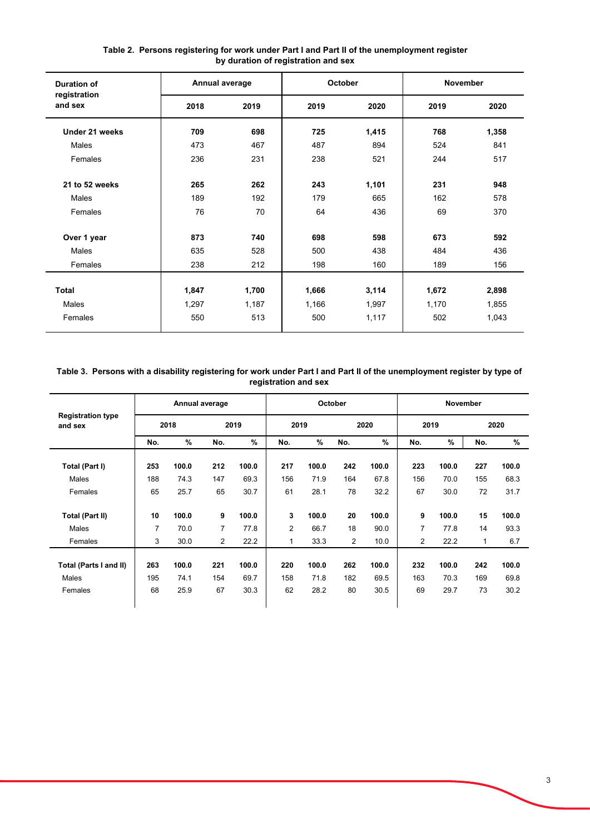| <b>Duration of</b>      | Annual average |       | October |       | <b>November</b> |       |
|-------------------------|----------------|-------|---------|-------|-----------------|-------|
| registration<br>and sex | 2018           | 2019  | 2019    | 2020  | 2019            | 2020  |
| Under 21 weeks          | 709            | 698   | 725     | 1,415 | 768             | 1,358 |
| Males                   | 473            | 467   | 487     | 894   | 524             | 841   |
| Females                 | 236            | 231   | 238     | 521   | 244             | 517   |
| 21 to 52 weeks          | 265            | 262   | 243     | 1,101 | 231             | 948   |
| Males                   | 189            | 192   | 179     | 665   | 162             | 578   |
| Females                 | 76             | 70    | 64      | 436   | 69              | 370   |
| Over 1 year             | 873            | 740   | 698     | 598   | 673             | 592   |
| Males                   | 635            | 528   | 500     | 438   | 484             | 436   |
| Females                 | 238            | 212   | 198     | 160   | 189             | 156   |
|                         |                |       |         |       |                 |       |
| <b>Total</b>            | 1,847          | 1,700 | 1,666   | 3,114 | 1,672           | 2,898 |
| Males                   | 1,297          | 1,187 | 1,166   | 1,997 | 1,170           | 1,855 |
| Females                 | 550            | 513   | 500     | 1,117 | 502             | 1,043 |

### **Table 2. Persons registering for work under Part I and Part II of the unemployment register by duration of registration and sex**

### **Table 3. Persons with a disability registering for work under Part I and Part II of the unemployment register by type of registration and sex**

|                                     |     |       | Annual average |       |      |       | October |       |      | November |     |       |
|-------------------------------------|-----|-------|----------------|-------|------|-------|---------|-------|------|----------|-----|-------|
| <b>Registration type</b><br>and sex |     | 2018  |                | 2019  | 2019 |       |         | 2020  | 2019 |          |     | 2020  |
|                                     | No. | %     | No.            | %     | No.  | %     | No.     | $\%$  | No.  | $\%$     | No. | %     |
| Total (Part I)                      | 253 | 100.0 | 212            | 100.0 | 217  | 100.0 | 242     | 100.0 | 223  | 100.0    | 227 | 100.0 |
| Males                               | 188 | 74.3  | 147            | 69.3  | 156  | 71.9  | 164     | 67.8  | 156  | 70.0     | 155 | 68.3  |
| Females                             | 65  | 25.7  | 65             | 30.7  | 61   | 28.1  | 78      | 32.2  | 67   | 30.0     | 72  | 31.7  |
| Total (Part II)                     | 10  | 100.0 | 9              | 100.0 | 3    | 100.0 | 20      | 100.0 | 9    | 100.0    | 15  | 100.0 |
| Males                               | 7   | 70.0  | 7              | 77.8  | 2    | 66.7  | 18      | 90.0  | 7    | 77.8     | 14  | 93.3  |
| Females                             | 3   | 30.0  | $\overline{2}$ | 22.2  | 1    | 33.3  | 2       | 10.0  | 2    | 22.2     | 1   | 6.7   |
| Total (Parts I and II)              | 263 | 100.0 | 221            | 100.0 | 220  | 100.0 | 262     | 100.0 | 232  | 100.0    | 242 | 100.0 |
| Males                               | 195 | 74.1  | 154            | 69.7  | 158  | 71.8  | 182     | 69.5  | 163  | 70.3     | 169 | 69.8  |
| Females                             | 68  | 25.9  | 67             | 30.3  | 62   | 28.2  | 80      | 30.5  | 69   | 29.7     | 73  | 30.2  |
|                                     |     |       |                |       |      |       |         |       |      |          |     |       |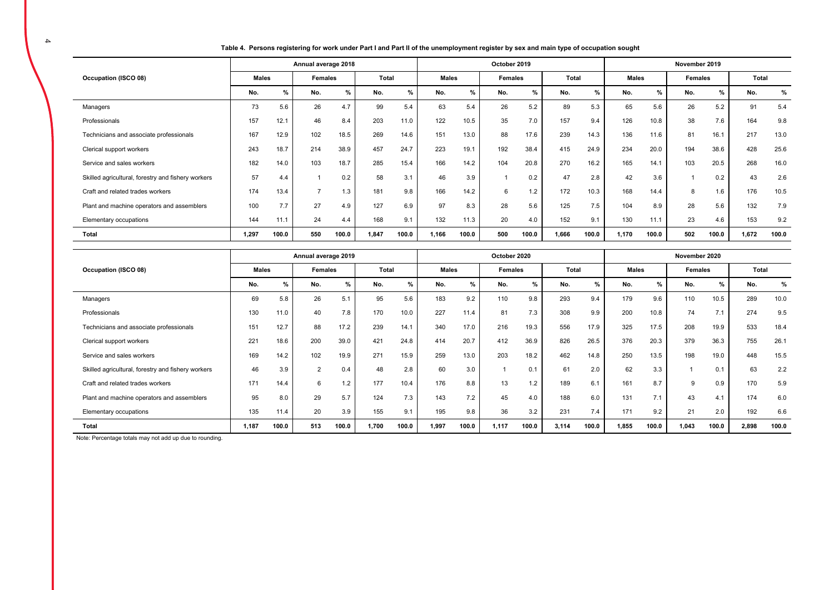| Table 4. Persons registering for work under Part I and Part II of the unemployment register by sex and main type of occupation sought |  |
|---------------------------------------------------------------------------------------------------------------------------------------|--|
|                                                                                                                                       |  |

|                                                    |       |       | Annual average 2018 |       |       |       |              |       | October 2019 |       |       |               |              |       | November 2019  |       |       |       |
|----------------------------------------------------|-------|-------|---------------------|-------|-------|-------|--------------|-------|--------------|-------|-------|---------------|--------------|-------|----------------|-------|-------|-------|
| Occupation (ISCO 08)                               | Males |       | Females             |       | Total |       | <b>Males</b> |       | Females      |       | Total |               | <b>Males</b> |       | <b>Females</b> |       | Total |       |
|                                                    | No.   | $\%$  | No.                 | %     | No.   | $\%$  | No.          | %     | No.          | %     | No.   | $\frac{9}{6}$ | No.          | $\%$  | No.            | %     | No.   | %     |
| Managers                                           | 73    | 5.6   | 26                  | 4.7   | 99    | 5.4   | 63           | 5.4   | 26           | 5.2   | 89    | 5.3           | 65           | 5.6   | 26             | 5.2   | 91    | 5.4   |
| Professionals                                      | 157   | 12.1  | 46                  | 8.4   | 203   | 11.0  | 122          | 10.5  | 35           | 7.0   | 157   | 9.4           | 126          | 10.8  | 38             | 7.6   | 164   | 9.8   |
| Technicians and associate professionals            | 167   | 12.9  | 102                 | 18.5  | 269   | 14.6  | 151          | 13.0  | 88           | 17.6  | 239   | 14.3          | 136          | 11.6  | 81             | 16.1  | 217   | 13.0  |
| Clerical support workers                           | 243   | 18.7  | 214                 | 38.9  | 457   | 24.7  | 223          | 19.1  | 192          | 38.4  | 415   | 24.9          | 234          | 20.0  | 194            | 38.6  | 428   | 25.6  |
| Service and sales workers                          | 182   | 14.0  | 103                 | 18.7  | 285   | 15.4  | 166          | 14.2  | 104          | 20.8  | 270   | 16.2          | 165          | 14.1  | 103            | 20.5  | 268   | 16.0  |
| Skilled agricultural, forestry and fishery workers | 57    | 4.4   |                     | 0.2   | 58    | 3.1   | 46           | 3.9   |              | 0.2   | 47    | 2.8           | 42           | 3.6   |                | 0.2   | 43    | 2.6   |
| Craft and related trades workers                   | 174   | 13.4  | э,                  | 1.3   | 181   | 9.8   | 166          | 14.2  | 6            | 1.2   | 172   | 10.3          | 168          | 14.4  | 8              | 1.6   | 176   | 10.5  |
| Plant and machine operators and assemblers         | 100   | 7.7   | 27                  | 4.9   | 127   | 6.9   | 97           | 8.3   | 28           | 5.6   | 125   | 7.5           | 104          | 8.9   | 28             | 5.6   | 132   | 7.9   |
| Elementary occupations                             | 144   | 11.1  | 24                  | 4.4   | 168   | 9.1   | 132          | 11.3  | 20           | 4.0   | 152   | 9.1           | 130          | 11.1  | 23             | 4.6   | 153   | 9.2   |
| Total                                              | 1.297 | 100.0 | 550                 | 100.0 | 1,847 | 100.0 | 1,166        | 100.0 | 500          | 100.0 | 1,666 | 100.0         | 1,170        | 100.0 | 502            | 100.0 | 1,672 | 100.0 |

|                                                    |              |       | Annual average 2019 |       |       |       |              |       | October 2020   |       |       |       |              |       | November 2020  |       |       |       |
|----------------------------------------------------|--------------|-------|---------------------|-------|-------|-------|--------------|-------|----------------|-------|-------|-------|--------------|-------|----------------|-------|-------|-------|
| Occupation (ISCO 08)                               | <b>Males</b> |       | Females             |       | Total |       | <b>Males</b> |       | <b>Females</b> |       | Total |       | <b>Males</b> |       | <b>Females</b> |       | Total |       |
|                                                    | No.          | %     | No.                 | %     | No.   | %     | No.          | %     | No.            | %     | No.   | %     | No.          | %     | No.            | %     | No.   | %     |
| Managers                                           | 69           | 5.8   | 26                  | 5.1   | 95    | 5.6   | 183          | 9.2   | 110            | 9.8   | 293   | 9.4   | 179          | 9.6   | 110            | 10.5  | 289   | 10.0  |
| Professionals                                      | 130          | 11.0  | 40                  | 7.8   | 170   | 10.0  | 227          | 11.4  | 81             | 7.3   | 308   | 9.9   | 200          | 10.8  | 74             | 7.1   | 274   | 9.5   |
| Technicians and associate professionals            | 151          | 12.7  | 88                  | 17.2  | 239   | 14.1  | 340          | 17.0  | 216            | 19.3  | 556   | 17.9  | 325          | 17.5  | 208            | 19.9  | 533   | 18.4  |
| Clerical support workers                           | 221          | 18.6  | 200                 | 39.0  | 421   | 24.8  | 414          | 20.7  | 412            | 36.9  | 826   | 26.5  | 376          | 20.3  | 379            | 36.3  | 755   | 26.1  |
| Service and sales workers                          | 169          | 14.2  | 102                 | 19.9  | 271   | 15.9  | 259          | 13.0  | 203            | 18.2  | 462   | 14.8  | 250          | 13.5  | 198            | 19.0  | 448   | 15.5  |
| Skilled agricultural, forestry and fishery workers | 46           | 3.9   | $\overline{2}$      | 0.4   | 48    | 2.8   | 60           | 3.0   |                | 0.1   | 61    | 2.0   | 62           | 3.3   |                | 0.1   | 63    | 2.2   |
| Craft and related trades workers                   | 171          | 14.4  | 6                   | 1.2   | 177   | 10.4  | 176          | 8.8   | 13             | 1.2   | 189   | 6.1   | 161          | 8.7   | 9              | 0.9   | 170   | 5.9   |
| Plant and machine operators and assemblers         | 95           | 8.0   | 29                  | 5.7   | 124   | 7.3   | 143          | 7.2   | 45             | 4.0   | 188   | 6.0   | 131          | 7.1   | 43             | 4.1   | 174   | 6.0   |
| Elementary occupations                             | 135          | 11.4  | 20                  | 3.9   | 155   | 9.1   | 195          | 9.8   | 36             | 3.2   | 231   | 7.4   | 171          | 9.2   | 21             | 2.0   | 192   | 6.6   |
| Total                                              | 1.187        | 100.0 | 513                 | 100.0 | 1,700 | 100.0 | 1,997        | 100.0 | 1,117          | 100.0 | 3,114 | 100.0 | 1,855        | 100.0 | 1.043          | 100.0 | 2,898 | 100.0 |

Note: Percentage totals may not add up due to rounding.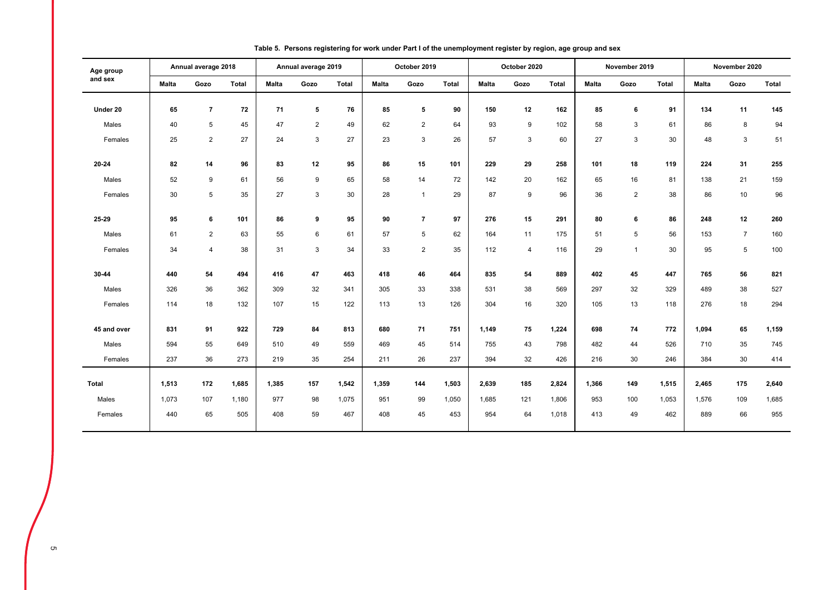| Age group    |              | Annual average 2018 |              |       | Annual average 2019 |              |              | October 2019   |       |       | October 2020   |              |              | November 2019  |       |              | November 2020  |       |
|--------------|--------------|---------------------|--------------|-------|---------------------|--------------|--------------|----------------|-------|-------|----------------|--------------|--------------|----------------|-------|--------------|----------------|-------|
| and sex      | <b>Malta</b> | Gozo                | <b>Total</b> | Malta | Gozo                | <b>Total</b> | <b>Malta</b> | Gozo           | Total | Malta | Gozo           | <b>Total</b> | <b>Malta</b> | Gozo           | Total | <b>Malta</b> | Gozo           | Total |
| Under 20     | 65           | $\overline{7}$      | 72           | 71    | 5                   | 76           | 85           | 5              | 90    | 150   | 12             | 162          | 85           | 6              | 91    | 134          | 11             | 145   |
| Males        | 40           | 5                   | 45           | 47    | $\overline{2}$      | 49           | 62           | $\overline{2}$ | 64    | 93    | 9              | 102          | 58           | 3              | 61    | 86           | 8              | 94    |
| Females      | 25           | $\overline{2}$      | 27           | 24    | 3                   | 27           | 23           | 3              | 26    | 57    | 3              | 60           | 27           | 3              | 30    | 48           | 3              | 51    |
|              |              |                     |              |       |                     |              |              |                |       |       |                |              |              |                |       |              |                |       |
| 20-24        | 82           | 14                  | 96           | 83    | 12                  | 95           | 86           | 15             | 101   | 229   | 29             | 258          | 101          | 18             | 119   | 224          | 31             | 255   |
| Males        | 52           | 9                   | 61           | 56    | 9                   | 65           | 58           | 14             | 72    | 142   | 20             | 162          | 65           | 16             | 81    | 138          | 21             | 159   |
| Females      | 30           | 5                   | 35           | 27    | 3                   | 30           | 28           | $\mathbf{1}$   | 29    | 87    | 9              | 96           | 36           | $\overline{2}$ | 38    | 86           | 10             | 96    |
|              |              |                     |              |       |                     |              |              |                |       |       |                |              |              |                |       |              |                |       |
| 25-29        | 95           | 6                   | 101          | 86    | 9                   | 95           | 90           | $\overline{7}$ | 97    | 276   | 15             | 291          | 80           | 6              | 86    | 248          | 12             | 260   |
| Males        | 61           | $\overline{2}$      | 63           | 55    | 6                   | 61           | 57           | 5              | 62    | 164   | 11             | 175          | 51           | 5              | 56    | 153          | $\overline{7}$ | 160   |
| Females      | 34           | $\overline{4}$      | 38           | 31    | 3                   | 34           | 33           | $\overline{2}$ | 35    | 112   | $\overline{4}$ | 116          | 29           | $\mathbf{1}$   | 30    | 95           | 5              | 100   |
| 30-44        | 440          | 54                  | 494          | 416   | 47                  | 463          | 418          | 46             | 464   | 835   | 54             | 889          | 402          | 45             | 447   | 765          | 56             | 821   |
|              |              |                     |              |       |                     |              |              |                |       |       |                |              |              |                |       |              |                |       |
| Males        | 326          | 36                  | 362          | 309   | 32                  | 341          | 305          | 33             | 338   | 531   | 38             | 569          | 297          | 32             | 329   | 489          | 38             | 527   |
| Females      | 114          | 18                  | 132          | 107   | 15                  | 122          | 113          | 13             | 126   | 304   | 16             | 320          | 105          | 13             | 118   | 276          | 18             | 294   |
| 45 and over  | 831          | 91                  | 922          | 729   | 84                  | 813          | 680          | 71             | 751   | 1,149 | 75             | 1,224        | 698          | 74             | 772   | 1,094        | 65             | 1,159 |
| Males        | 594          | 55                  | 649          | 510   | 49                  | 559          | 469          | 45             | 514   | 755   | 43             | 798          | 482          | 44             | 526   | 710          | 35             | 745   |
| Females      | 237          | 36                  | 273          | 219   | 35                  | 254          | 211          | 26             | 237   | 394   | 32             | 426          | 216          | 30             | 246   | 384          | 30             | 414   |
|              |              |                     |              |       |                     |              |              |                |       |       |                |              |              |                |       |              |                |       |
| <b>Total</b> | 1,513        | 172                 | 1,685        | 1,385 | 157                 | 1,542        | 1,359        | 144            | 1,503 | 2,639 | 185            | 2,824        | 1,366        | 149            | 1,515 | 2,465        | 175            | 2,640 |
| Males        | 1,073        | 107                 | 1,180        | 977   | 98                  | 1,075        | 951          | 99             | 1,050 | 1,685 | 121            | 1,806        | 953          | 100            | 1,053 | 1,576        | 109            | 1,685 |
| Females      | 440          | 65                  | 505          | 408   | 59                  | 467          | 408          | 45             | 453   | 954   | 64             | 1,018        | 413          | 49             | 462   | 889          | 66             | 955   |

### **Table 5. Persons registering for work under Part I of the unemployment register by region, age group and sex**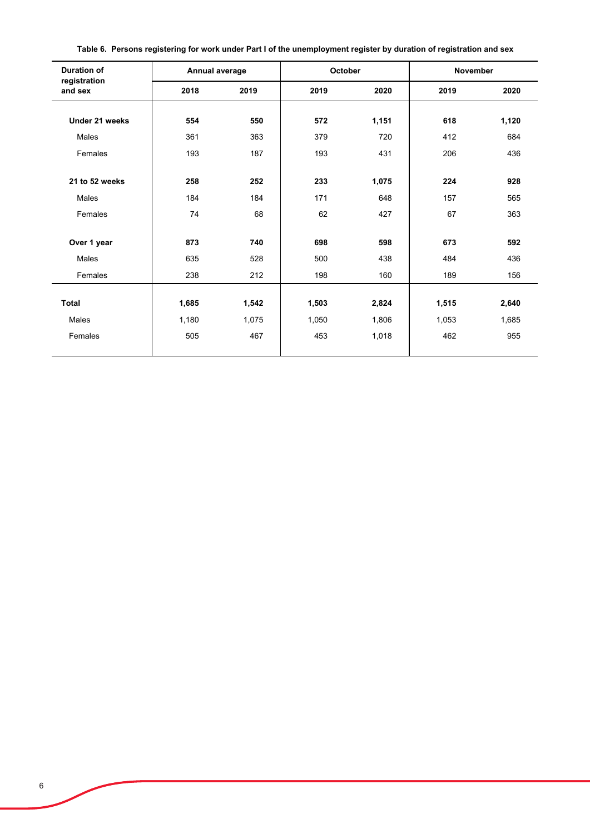| rable v. Tersons registering for work ander Fart For the anemployment register by daration or registration and sex |                |      |         |       |                 |       |
|--------------------------------------------------------------------------------------------------------------------|----------------|------|---------|-------|-----------------|-------|
| <b>Duration of</b><br>registration                                                                                 | Annual average |      | October |       | <b>November</b> |       |
| and sex                                                                                                            | 2018           | 2019 | 2019    | 2020  | 2019            | 2020  |
| Under 21 weeks                                                                                                     | 554            | 550  | 572     | 1,151 | 618             | 1,120 |

Males | 361 363 | 379 720 | 412 684 Females 193 187 193 431 206 436

**21 to 52 weeks 258 252 233 1,075 224 928** Males 184 184 171 648 157 565 Females 74 68 62 427 67 363

**Over 1 year 873 740 698 598 673 592** Males | 635 528 | 500 438 | 484 436 Females 238 212 198 160 189 156

**Total 1,685 1,542 1,503 2,824 1,515 2,640** Males 1,180 1,075 1,050 1,806 1,053 1,685 Females 505 467 453 1,018 462 955

**Table 6. Persons registering for work under Part I of the unemployment register by duration of registration and sex**

 $\blacksquare$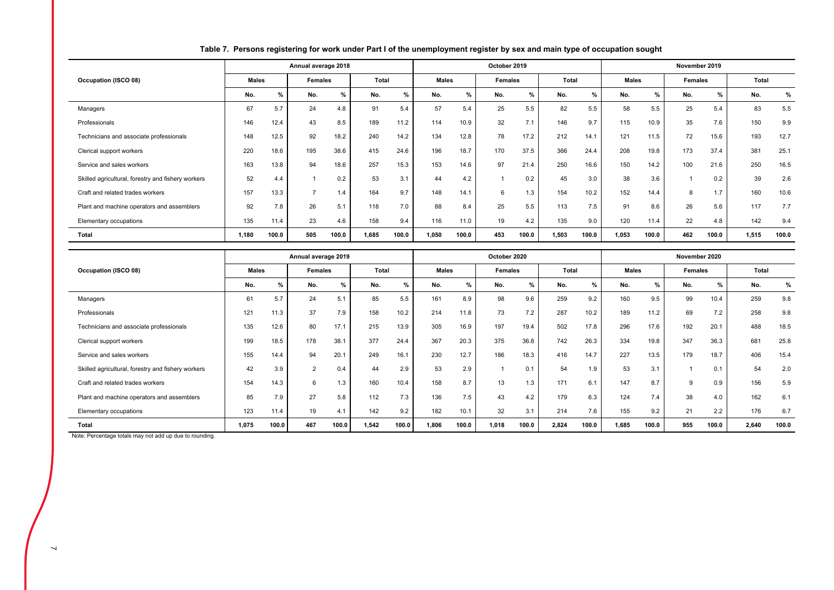|                                                    |              |               | Annual average 2018 |       |       |               |              |       | October 2019 |       |       |       |              |       | November 2019 |       |       |       |
|----------------------------------------------------|--------------|---------------|---------------------|-------|-------|---------------|--------------|-------|--------------|-------|-------|-------|--------------|-------|---------------|-------|-------|-------|
| Occupation (ISCO 08)                               | <b>Males</b> |               | Females             |       | Total |               | <b>Males</b> |       | Females      |       | Total |       | <b>Males</b> |       | Females       |       | Total |       |
|                                                    | No.          | $\frac{9}{6}$ | No.                 | %     | No.   | $\frac{9}{6}$ | No.          | %     | No.          | %     | No.   | %     | No.          | $\%$  | No.           | %     | No.   | %     |
| Managers                                           | 67           | 5.7           | 24                  | 4.8   | 91    | 5.4           | 57           | 5.4   | 25           | 5.5   | 82    | 5.5   | 58           | 5.5   | 25            | 5.4   | 83    | 5.5   |
| Professionals                                      | 146          | 12.4          | 43                  | 8.5   | 189   | 11.2          | 114          | 10.9  | 32           | 7.1   | 146   | 9.7   | 115          | 10.9  | 35            | 7.6   | 150   | 9.9   |
| Technicians and associate professionals            | 148          | 12.5          | 92                  | 18.2  | 240   | 14.2          | 134          | 12.8  | 78           | 17.2  | 212   | 14.1  | 121          | 11.5  | 72            | 15.6  | 193   | 12.7  |
| Clerical support workers                           | 220          | 18.6          | 195                 | 38.6  | 415   | 24.6          | 196          | 18.7  | 170          | 37.5  | 366   | 24.4  | 208          | 19.8  | 173           | 37.4  | 381   | 25.1  |
| Service and sales workers                          | 163          | 13.8          | 94                  | 18.6  | 257   | 15.3          | 153          | 14.6  | 97           | 21.4  | 250   | 16.6  | 150          | 14.2  | 100           | 21.6  | 250   | 16.5  |
| Skilled agricultural, forestry and fishery workers | 52           | 4.4           |                     | 0.2   | 53    | 3.1           | 44           | 4.2   |              | 0.2   | 45    | 3.0   | 38           | 3.6   |               | 0.2   | 39    | 2.6   |
| Craft and related trades workers                   | 157          | 13.3          | -                   | 1.4   | 164   | 9.7           | 148          | 14.1  | 6            | 1.3   | 154   | 10.2  | 152          | 14.4  | 8             | 1.7   | 160   | 10.6  |
| Plant and machine operators and assemblers         | 92           | 7.8           | 26                  | 5.1   | 118   | 7.0           | 88           | 8.4   | 25           | 5.5   | 113   | 7.5   | 91           | 8.6   | 26            | 5.6   | 117   | 7.7   |
| Elementary occupations                             | 135          | 11.4          | 23                  | 4.6   | 158   | 9.4           | 116          | 11.0  | 19           | 4.2   | 135   | 9.0   | 120          | 11.4  | 22            | 4.8   | 142   | 9.4   |
| Total                                              | 1,180        | 100.0         | 505                 | 100.0 | 1,685 | 100.0         | 1,050        | 100.0 | 453          | 100.0 | 1,503 | 100.0 | 1,053        | 100.0 | 462           | 100.0 | 1,515 | 100.0 |

## **Table 7. Persons registering for work under Part I of the unemployment register by sex and main type of occupation sought**

|                                                    |              |               | Annual average 2019 |       |              |       |              |       | October 2020 |               |       |       |              |       | November 2020 |       |       |       |
|----------------------------------------------------|--------------|---------------|---------------------|-------|--------------|-------|--------------|-------|--------------|---------------|-------|-------|--------------|-------|---------------|-------|-------|-------|
| Occupation (ISCO 08)                               | <b>Males</b> |               | <b>Females</b>      |       | <b>Total</b> |       | <b>Males</b> |       | Females      |               | Total |       | <b>Males</b> |       | Females       |       | Total |       |
|                                                    | No.          | $\frac{0}{2}$ | No.                 | %     | No.          | $\%$  | No.          | %     | No.          | $\frac{9}{6}$ | No.   | %     | No.          | %     | No.           | %     | No.   | %     |
| Managers                                           | 61           | 5.7           | 24                  | 5.1   | 85           | 5.5   | 161          | 8.9   | 98           | 9.6           | 259   | 9.2   | 160          | 9.5   | 99            | 10.4  | 259   | 9.8   |
| Professionals                                      | 121          | 11.3          | 37                  | 7.9   | 158          | 10.2  | 214          | 11.8  | 73           | 7.2           | 287   | 10.2  | 189          | 11.2  | 69            | 7.2   | 258   | 9.8   |
| Technicians and associate professionals            | 135          | 12.6          | 80                  | 17.1  | 215          | 13.9  | 305          | 16.9  | 197          | 19.4          | 502   | 17.8  | 296          | 17.6  | 192           | 20.1  | 488   | 18.5  |
| Clerical support workers                           | 199          | 18.5          | 178                 | 38.1  | 377          | 24.4  | 367          | 20.3  | 375          | 36.8          | 742   | 26.3  | 334          | 19.8  | 347           | 36.3  | 681   | 25.8  |
| Service and sales workers                          | 155          | 14.4          | 94                  | 20.1  | 249          | 16.1  | 230          | 12.7  | 186          | 18.3          | 416   | 14.7  | 227          | 13.5  | 179           | 18.7  | 406   | 15.4  |
| Skilled agricultural, forestry and fishery workers | 42           | 3.9           | $\overline{2}$      | 0.4   | 44           | 2.9   | 53           | 2.9   |              | 0.1           | 54    | 1.9   | 53           | 3.1   |               | 0.1   | 54    | 2.0   |
| Craft and related trades workers                   | 154          | 14.3          | 6                   | 1.3   | 160          | 10.4  | 158          | 8.7   | 13           | 1.3           | 171   | 6.1   | 147          | 8.7   | 9             | 0.9   | 156   | 5.9   |
| Plant and machine operators and assemblers         | 85           | 7.9           | 27                  | 5.8   | 112          | 7.3   | 136          | 7.5   | 43           | 4.2           | 179   | 6.3   | 124          | 7.4   | 38            | 4.0   | 162   | 6.1   |
| Elementary occupations                             | 123          | 11.4          | 19                  | 4.1   | 142          | 9.2   | 182          | 10.1  | 32           | 3.1           | 214   | 7.6   | 155          | 9.2   | 21            | 2.2   | 176   | 6.7   |
| Total                                              | 1,075        | 100.0         | 467                 | 100.0 | 1,542        | 100.0 | 1,806        | 100.0 | 1,018        | 100.0         | 2,824 | 100.0 | 1,685        | 100.0 | 955           | 100.0 | 2,640 | 100.0 |

Note: Percentage totals may not add up due to rounding.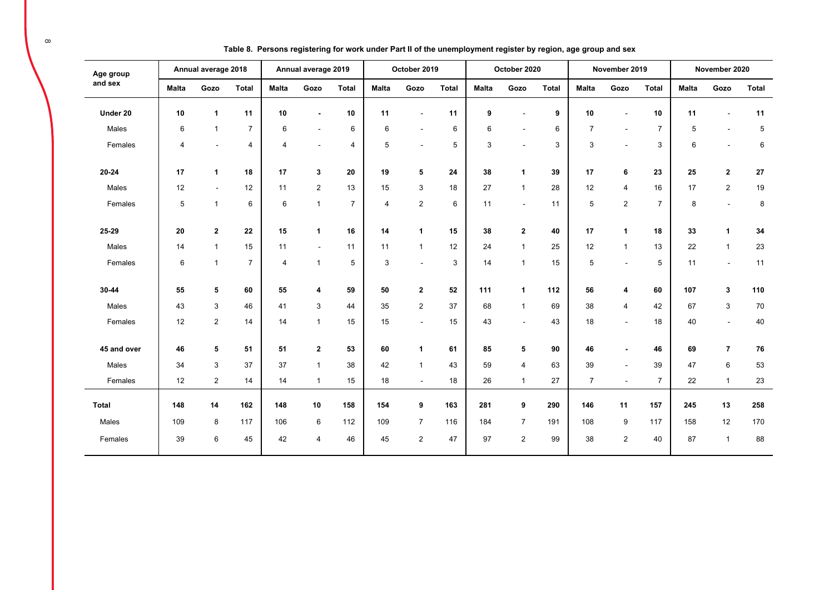| Age group<br>and sex |                | Annual average 2018 |                |                | Annual average 2019 |                |                | October 2019             |              |              | October 2020             |              |                | November 2019            |                |              | November 2020           |            |
|----------------------|----------------|---------------------|----------------|----------------|---------------------|----------------|----------------|--------------------------|--------------|--------------|--------------------------|--------------|----------------|--------------------------|----------------|--------------|-------------------------|------------|
|                      | <b>Malta</b>   | Gozo                | Total          | <b>Malta</b>   | Gozo                | <b>Total</b>   | <b>Malta</b>   | Gozo                     | <b>Total</b> | <b>Malta</b> | Gozo                     | <b>Total</b> | <b>Malta</b>   | Gozo                     | <b>Total</b>   | <b>Malta</b> | Gozo                    | Total      |
| Under 20             | 10             | $\mathbf{1}$        | 11             | 10             | $\blacksquare$      | 10             | 11             | $\blacksquare$           | 11           | 9            | $\overline{\phantom{a}}$ | 9            | 10             | $\blacksquare$           | 10             | 11           |                         | 11         |
| Males                | 6              | $\overline{1}$      | $\overline{7}$ | 6              | $\sim$              | 6              | 6              | $\overline{\phantom{a}}$ | 6            | 6            | $\overline{\phantom{a}}$ | 6            | $\overline{7}$ | $\blacksquare$           | $\overline{7}$ | 5            |                         | 5          |
| Females              | $\overline{4}$ | $\blacksquare$      | $\overline{4}$ | $\overline{4}$ | $\sim$              | 4              | 5              | $\blacksquare$           | 5            | 3            | $\overline{\phantom{a}}$ | 3            | 3              | $\blacksquare$           | 3              | 6            | $\blacksquare$          | $\,6\,$    |
| $20 - 24$            | 17             | $\mathbf{1}$        | 18             | 17             | 3                   | 20             | 19             | $5\phantom{.0}$          | 24           | 38           | $\mathbf{1}$             | 39           | 17             | 6                        | 23             | 25           | $\overline{\mathbf{2}}$ | ${\bf 27}$ |
| Males                | 12             | $\sim$              | 12             | 11             | 2                   | 13             | 15             | 3                        | 18           | 27           | $\mathbf{1}$             | 28           | 12             | $\overline{4}$           | 16             | 17           | $\overline{2}$          | 19         |
| Females              | 5              | $\mathbf{1}$        | 6              | 6              | $\mathbf{1}$        | $\overline{7}$ | $\overline{4}$ | $\overline{\mathbf{c}}$  | 6            | 11           | $\sim$                   | 11           | 5              | $\overline{2}$           | $\overline{7}$ | 8            | $\sim$                  | 8          |
| 25-29                | 20             | $\overline{2}$      | 22             | 15             | $\mathbf{1}$        | 16             | 14             | $\mathbf{1}$             | 15           | 38           | $\mathbf{2}$             | 40           | 17             | $\mathbf{1}$             | 18             | 33           | $\mathbf{1}$            | 34         |
| Males                | 14             | $\mathbf{1}$        | 15             | 11             | $\sim$              | 11             | 11             | $\mathbf{1}$             | 12           | 24           | $\mathbf{1}$             | 25           | 12             | $\mathbf{1}$             | 13             | 22           | $\overline{1}$          | 23         |
| Females              | 6              | $\overline{1}$      | $\overline{7}$ | $\overline{4}$ | $\mathbf{1}$        | 5              | 3              | $\sim$                   | 3            | 14           | $\mathbf{1}$             | 15           | 5              | $\overline{a}$           | 5              | 11           | $\sim$                  | 11         |
| 30-44                | 55             | 5                   | 60             | 55             | 4                   | 59             | 50             | $\mathbf{2}$             | 52           | 111          | $\mathbf{1}$             | 112          | 56             | 4                        | 60             | 107          | 3                       | 110        |
| Males                | 43             | $\mathbf{3}$        | 46             | 41             | 3                   | 44             | 35             | $\mathbf{2}$             | 37           | 68           | $\mathbf{1}$             | 69           | 38             | $\overline{4}$           | 42             | 67           | 3                       | 70         |
| Females              | 12             | $\overline{2}$      | 14             | 14             | $\mathbf{1}$        | 15             | 15             | $\blacksquare$           | 15           | 43           | $\sim$                   | 43           | 18             | $\blacksquare$           | 18             | 40           | $\blacksquare$          | 40         |
| 45 and over          | 46             | 5                   | 51             | 51             | $\mathbf{2}$        | 53             | 60             | $\mathbf{1}$             | 61           | 85           | 5                        | 90           | 46             | $\overline{\phantom{a}}$ | 46             | 69           | $\overline{7}$          | 76         |
| Males                | 34             | 3                   | 37             | 37             | $\mathbf{1}$        | 38             | 42             | $\mathbf{1}$             | 43           | 59           | 4                        | 63           | 39             | $\blacksquare$           | 39             | 47           | 6                       | 53         |
| Females              | 12             | $\overline{2}$      | 14             | 14             | $\mathbf{1}$        | 15             | 18             | $\overline{\phantom{a}}$ | 18           | 26           | $\mathbf{1}$             | 27           | $\overline{7}$ | $\blacksquare$           | $\overline{7}$ | 22           | $\overline{1}$          | 23         |
|                      |                |                     |                |                |                     |                |                |                          |              |              |                          |              |                |                          |                |              |                         |            |
| <b>Total</b>         | 148            | 14                  | 162            | 148            | 10                  | 158            | 154            | 9                        | 163          | 281          | 9                        | 290          | 146            | 11                       | 157            | 245          | 13                      | 258        |
| Males                | 109            | 8                   | 117            | 106            | 6                   | 112            | 109            | $\overline{7}$           | 116          | 184          | $\overline{7}$           | 191          | 108            | 9                        | 117            | 158          | 12                      | 170        |
| Females              | 39             | 6                   | 45             | 42             | $\overline{4}$      | 46             | 45             | $\overline{2}$           | 47           | 97           | $\overline{2}$           | 99           | 38             | 2                        | 40             | 87           | $\overline{1}$          | 88         |

**Table 8. Persons registering for work under Part II of the unemployment register by region, age group and sex**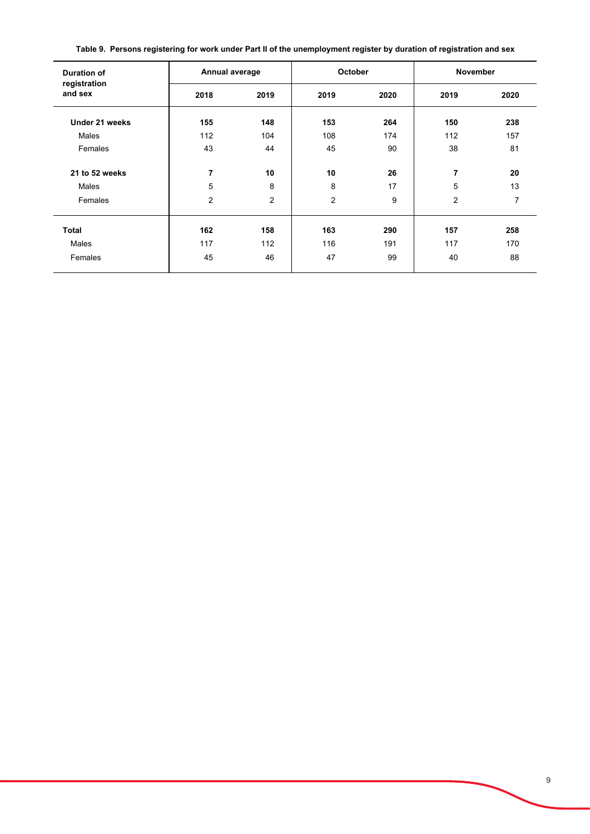| <b>Duration of</b><br>registration<br>and sex | Annual average |                | October |      | <b>November</b> |      |  |  |  |
|-----------------------------------------------|----------------|----------------|---------|------|-----------------|------|--|--|--|
|                                               | 2018           | 2019           | 2019    | 2020 | 2019            | 2020 |  |  |  |
| Under 21 weeks                                | 155            | 148            | 153     | 264  | 150             | 238  |  |  |  |
| Males                                         | 112            | 104            | 108     | 174  | 112             | 157  |  |  |  |
| Females                                       | 43             | 44             | 45      | 90   | 38              | 81   |  |  |  |
| 21 to 52 weeks                                | 7              | 10             | 10      | 26   | 7               | 20   |  |  |  |
| Males                                         | 5              | 8              | 8       | 17   | 5               | 13   |  |  |  |
| Females                                       | $\overline{2}$ | $\overline{2}$ | 2       | 9    | 2               | 7    |  |  |  |
| <b>Total</b>                                  | 162            | 158            | 163     | 290  | 157             | 258  |  |  |  |
| Males                                         | 117            | 112            | 116     | 191  | 117             | 170  |  |  |  |
| Females                                       | 45             | 46             | 47      | 99   | 40              | 88   |  |  |  |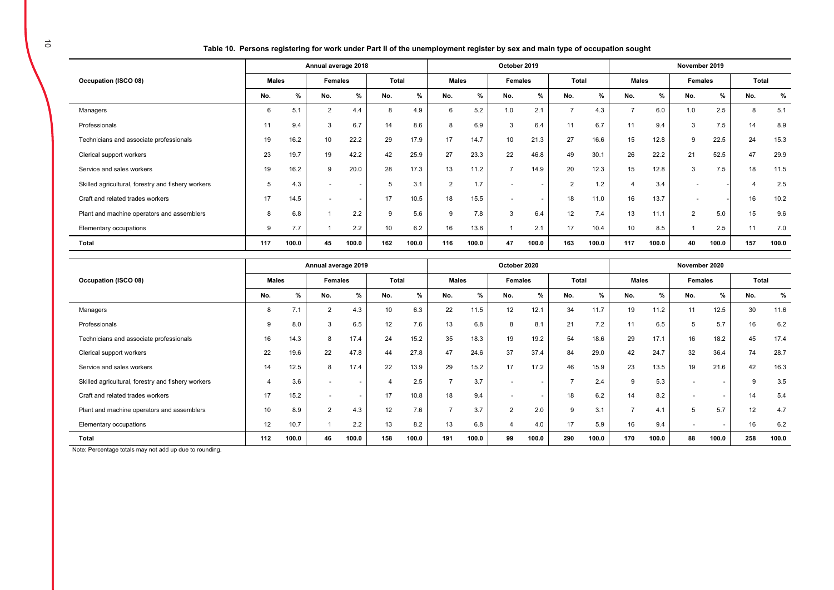|  | Table 10.  Persons registering for work under Part II of the unemployment register by sex and main type of occupation sought |  |
|--|------------------------------------------------------------------------------------------------------------------------------|--|
|  |                                                                                                                              |  |

|                                                    | Annual average 2018 |       |                |                          |     |       |     | October 2019 |                          |         |                |               |                |               | November 2019 |       |       |       |  |  |  |
|----------------------------------------------------|---------------------|-------|----------------|--------------------------|-----|-------|-----|--------------|--------------------------|---------|----------------|---------------|----------------|---------------|---------------|-------|-------|-------|--|--|--|
| Occupation (ISCO 08)                               | <b>Males</b>        |       | Females        |                          |     | Total |     | <b>Males</b> |                          | Females |                | Total         |                | <b>Males</b>  | Females       |       | Total |       |  |  |  |
|                                                    | No.                 | %     | No.            | %                        | No. | %     | No. | %            | No.                      | %       | No.            | $\frac{9}{6}$ | No.            | $\frac{9}{6}$ | No.           | %     | No.   | %     |  |  |  |
| Managers                                           | 6                   | 5.1   | $\overline{2}$ | 4.4                      | 8   | 4.9   | 6   | 5.2          | 1.0                      | 2.1     | $\overline{7}$ | 4.3           | $\overline{7}$ | 6.0           | 1.0           | 2.5   |       | 5.1   |  |  |  |
| Professionals                                      | 11                  | 9.4   | 3              | 6.7                      | 14  | 8.6   | 8   | 6.9          | 3                        | 6.4     | 11             | 6.7           | 11             | 9.4           | 3             | 7.5   | 14    | 8.9   |  |  |  |
| Technicians and associate professionals            | 19                  | 16.2  | 10             | 22.2                     | 29  | 17.9  | 17  | 14.7         | 10                       | 21.3    | 27             | 16.6          | 15             | 12.8          | 9             | 22.5  | 24    | 15.3  |  |  |  |
| Clerical support workers                           | 23                  | 19.7  | 19             | 42.2                     | 42  | 25.9  | 27  | 23.3         | 22                       | 46.8    | 49             | 30.1          | 26             | 22.2          | 21            | 52.5  | 47    | 29.9  |  |  |  |
| Service and sales workers                          | 19                  | 16.2  | 9              | 20.0                     | 28  | 17.3  | 13  | 11.2         | $\overline{ }$           | 14.9    | 20             | 12.3          | 15             | 12.8          | 3             | 7.5   | 18    | 11.5  |  |  |  |
| Skilled agricultural, forestry and fishery workers | $\mathbf{b}$        | 4.3   |                | $\overline{a}$           | 5   | 3.1   | 2   | 1.7          |                          |         | 2              | 1.2           | 4              | 3.4           |               |       |       | 2.5   |  |  |  |
| Craft and related trades workers                   | 17                  | 14.5  |                | $\overline{\phantom{a}}$ | 17  | 10.5  | 18  | 15.5         | $\overline{\phantom{0}}$ |         | 18             | 11.0          | 16             | 13.7          |               |       | 16    | 10.2  |  |  |  |
| Plant and machine operators and assemblers         | 8                   | 6.8   |                | 2.2                      | 9   | 5.6   | 9   | 7.8          | 3                        | 6.4     | 12             | 7.4           | 13             | 11.1          | 2             | 5.0   | 15    | 9.6   |  |  |  |
| Elementary occupations                             | 9                   | 7.7   |                | 2.2                      | 10  | 6.2   | 16  | 13.8         |                          | 2.1     | 17             | 10.4          | 10             | 8.5           |               | 2.5   | 11    | 7.0   |  |  |  |
| <b>Total</b>                                       | 117                 | 100.0 | 45             | 100.0                    | 162 | 100.0 | 116 | 100.0        | 47                       | 100.0   | 163            | 100.0         | 117            | 100.0         | 40            | 100.0 | 157   | 100.0 |  |  |  |

|                                                    | Annual average 2019 |       |                |                          |       |       |                | October 2020 |                |       |       |       |                |               | November 2020  |                          |       |       |  |  |  |
|----------------------------------------------------|---------------------|-------|----------------|--------------------------|-------|-------|----------------|--------------|----------------|-------|-------|-------|----------------|---------------|----------------|--------------------------|-------|-------|--|--|--|
| Occupation (ISCO 08)                               | <b>Males</b>        |       | <b>Females</b> |                          | Total |       | <b>Males</b>   |              | Females        |       | Total |       | <b>Males</b>   |               | <b>Females</b> |                          | Total |       |  |  |  |
|                                                    | No.                 | %     | No.            | %                        | No.   | %     | No.            | %            | No.            | %     | No.   | %     | No.            | $\frac{9}{6}$ | No.            | %                        | No.   | %     |  |  |  |
| Managers                                           | 8                   | 7.1   | $\overline{2}$ | 4.3                      | 10    | 6.3   | 22             | 11.5         | 12             | 12.1  | 34    | 11.7  | 19             | 11.2          | 11             | 12.5                     | 30    | 11.6  |  |  |  |
| Professionals                                      | g                   | 8.0   | 3              | 6.5                      | 12    | 7.6   | 13             | 6.8          |                | 8.1   | 21    | 7.2   | 11             | 6.5           | 5              | 5.7                      | 16    | 6.2   |  |  |  |
| Technicians and associate professionals            | 16                  | 14.3  | 8              | 17.4                     | 24    | 15.2  | 35             | 18.3         | 19             | 19.2  | 54    | 18.6  | 29             | 17.1          | 16             | 18.2                     | 45    | 17.4  |  |  |  |
| Clerical support workers                           | 22                  | 19.6  | 22             | 47.8                     | 44    | 27.8  | 47             | 24.6         | 37             | 37.4  | 84    | 29.0  | 42             | 24.7          | 32             | 36.4                     | 74    | 28.7  |  |  |  |
| Service and sales workers                          | 14                  | 12.5  | 8              | 17.4                     | 22    | 13.9  | 29             | 15.2         | 17             | 17.2  | 46    | 15.9  | 23             | 13.5          | 19             | 21.6                     | 42    | 16.3  |  |  |  |
| Skilled agricultural, forestry and fishery workers |                     | 3.6   |                | $\overline{\phantom{a}}$ |       | 2.5   | -              | 3.7          |                |       | -     | 2.4   | 9              | 5.3           |                | $\overline{\phantom{0}}$ | 9     | 3.5   |  |  |  |
| Craft and related trades workers                   | 17                  | 15.2  |                | $\overline{\phantom{0}}$ | 17    | 10.8  | 18             | 9.4          |                |       | 18    | 6.2   | 14             | 8.2           |                |                          | 14    | 5.4   |  |  |  |
| Plant and machine operators and assemblers         | 10                  | 8.9   | $\overline{2}$ | 4.3                      | 12    | 7.6   | $\overline{ }$ | 3.7          | $\overline{2}$ | 2.0   | 9     | 3.1   | $\overline{ }$ | 4.1           | 5              | 5.7                      | 12    | 4.7   |  |  |  |
| Elementary occupations                             | 12                  | 10.7  |                | 2.2                      | 13    | 8.2   | 13             | 6.8          |                | 4.0   | 17    | 5.9   | 16             | 9.4           |                | $\overline{\phantom{0}}$ | 16    | 6.2   |  |  |  |
| Total                                              | 112                 | 100.0 | 46             | 100.0                    | 158   | 100.0 | 191            | 100.0        | 99             | 100.0 | 290   | 100.0 | 170            | 100.0         | 88             | 100.0                    | 258   | 100.0 |  |  |  |

Note: Percentage totals may not add up due to rounding.